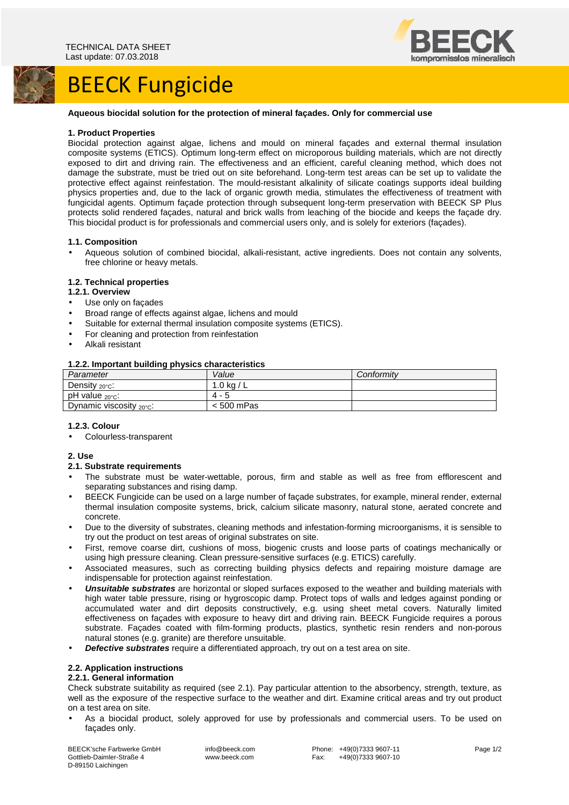# BEECK Fungicide



#### **Aqueous biocidal solution for the protection of mineral façades. Only for commercial use**

#### **1. Product Properties**

Biocidal protection against algae, lichens and mould on mineral façades and external thermal insulation composite systems (ETICS). Optimum long-term effect on microporous building materials, which are not directly exposed to dirt and driving rain. The effectiveness and an efficient, careful cleaning method, which does not damage the substrate, must be tried out on site beforehand. Long-term test areas can be set up to validate the protective effect against reinfestation. The mould-resistant alkalinity of silicate coatings supports ideal building physics properties and, due to the lack of organic growth media, stimulates the effectiveness of treatment with fungicidal agents. Optimum façade protection through subsequent long-term preservation with BEECK SP Plus protects solid rendered façades, natural and brick walls from leaching of the biocide and keeps the façade dry. This biocidal product is for professionals and commercial users only, and is solely for exteriors (façades).

#### **1.1. Composition**

• Aqueous solution of combined biocidal, alkali-resistant, active ingredients. Does not contain any solvents, free chlorine or heavy metals.

# **1.2. Technical properties**

#### **1.2.1. Overview**

- Use only on façades
- Broad range of effects against algae, lichens and mould
- Suitable for external thermal insulation composite systems (ETICS).
- For cleaning and protection from reinfestation
- Alkali resistant

#### **1.2.2. Important building physics characteristics**

| . .<br>Parameter                  | Value      | Conformity |
|-----------------------------------|------------|------------|
| Density $20^{\circ}$ c:           | .0 ka      |            |
| pH value $_{20\degree}$ C:        | Δ.         |            |
| Dynamic viscosity $20^{\circ}$ c: | < 500 mPas |            |

#### **1.2.3. Colour**

• Colourless-transparent

#### **2. Use**

- **2.1. Substrate requirements**
- The substrate must be water-wettable, porous, firm and stable as well as free from efflorescent and separating substances and rising damp.
- BEECK Fungicide can be used on a large number of façade substrates, for example, mineral render, external thermal insulation composite systems, brick, calcium silicate masonry, natural stone, aerated concrete and concrete.
- Due to the diversity of substrates, cleaning methods and infestation-forming microorganisms, it is sensible to try out the product on test areas of original substrates on site.
- First, remove coarse dirt, cushions of moss, biogenic crusts and loose parts of coatings mechanically or using high pressure cleaning. Clean pressure-sensitive surfaces (e.g. ETICS) carefully.
- Associated measures, such as correcting building physics defects and repairing moisture damage are indispensable for protection against reinfestation.
- **Unsuitable substrates** are horizontal or sloped surfaces exposed to the weather and building materials with high water table pressure, rising or hygroscopic damp. Protect tops of walls and ledges against ponding or accumulated water and dirt deposits constructively, e.g. using sheet metal covers. Naturally limited effectiveness on façades with exposure to heavy dirt and driving rain. BEECK Fungicide requires a porous substrate. Façades coated with film-forming products, plastics, synthetic resin renders and non-porous natural stones (e.g. granite) are therefore unsuitable.
- **Defective substrates** require a differentiated approach, try out on a test area on site.

# **2.2. Application instructions**

# **2.2.1. General information**

Check substrate suitability as required (see 2.1). Pay particular attention to the absorbency, strength, texture, as well as the exposure of the respective surface to the weather and dirt. Examine critical areas and try out product on a test area on site.

• As a biocidal product, solely approved for use by professionals and commercial users. To be used on façades only.

BEECK'sche Farbwerke GmbH Gottlieb-Daimler-Straße 4 D-89150 Laichingen

 info@beeck.com www.beeck.com

Phone: +49(0)7333 9607-11<br>Fax: +49(0)7333 9607-10 +49(0)7333 9607-10